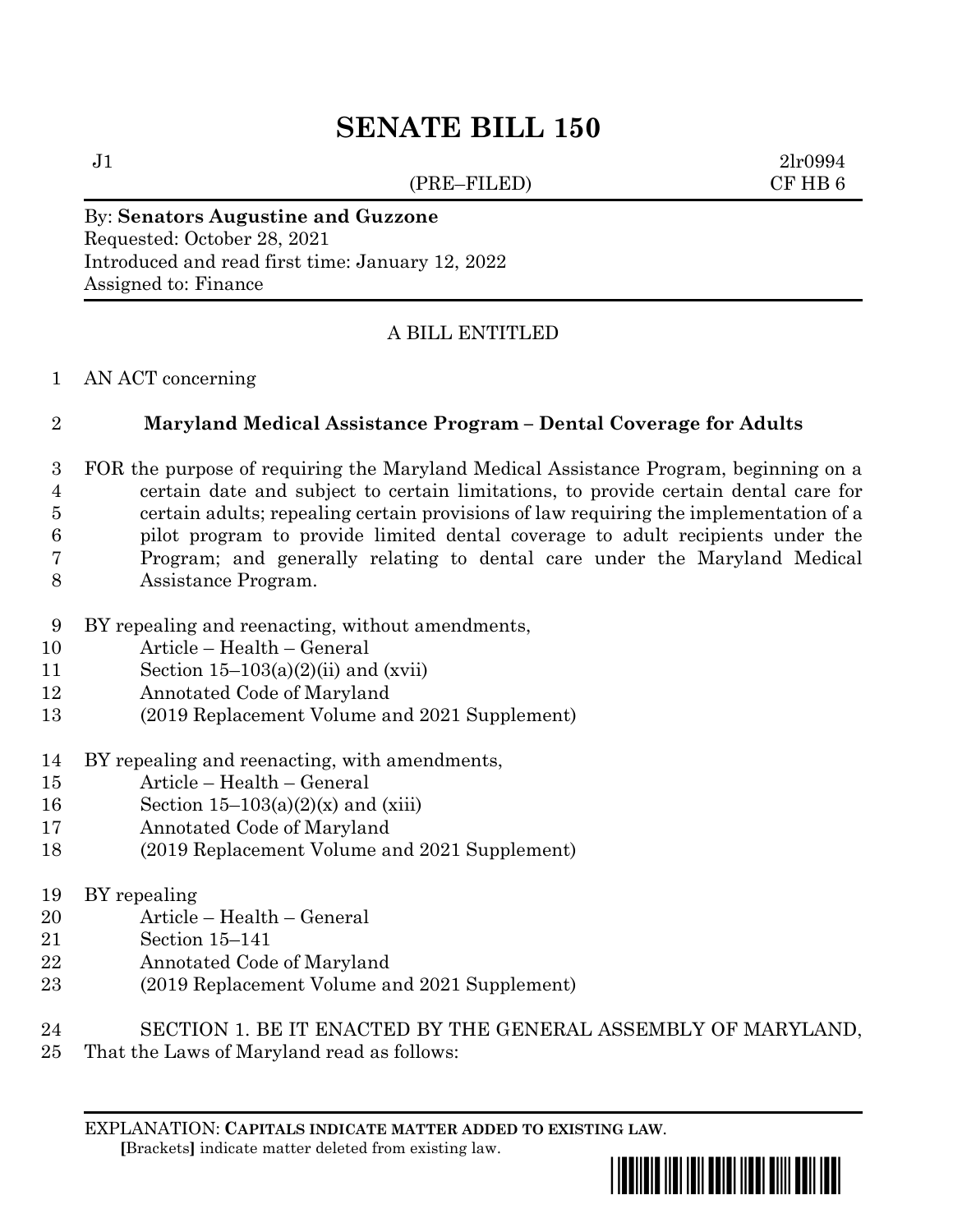# **SENATE BILL 150**

(PRE–FILED) CF HB 6

 $J1$  2lr0994

## By: **Senators Augustine and Guzzone**

Requested: October 28, 2021 Introduced and read first time: January 12, 2022 Assigned to: Finance

### A BILL ENTITLED

#### AN ACT concerning

#### **Maryland Medical Assistance Program – Dental Coverage for Adults**

- FOR the purpose of requiring the Maryland Medical Assistance Program, beginning on a certain date and subject to certain limitations, to provide certain dental care for certain adults; repealing certain provisions of law requiring the implementation of a pilot program to provide limited dental coverage to adult recipients under the Program; and generally relating to dental care under the Maryland Medical Assistance Program.
- BY repealing and reenacting, without amendments,
- Article Health General
- 11 Section  $15-103(a)(2)(ii)$  and (xvii)
- Annotated Code of Maryland
- (2019 Replacement Volume and 2021 Supplement)
- BY repealing and reenacting, with amendments,
- Article Health General
- 16 Section  $15-103(a)(2)(x)$  and (xiii)
- Annotated Code of Maryland
- (2019 Replacement Volume and 2021 Supplement)

#### BY repealing

- Article Health General
- Section 15–141
- Annotated Code of Maryland
- (2019 Replacement Volume and 2021 Supplement)
- SECTION 1. BE IT ENACTED BY THE GENERAL ASSEMBLY OF MARYLAND,
- That the Laws of Maryland read as follows:

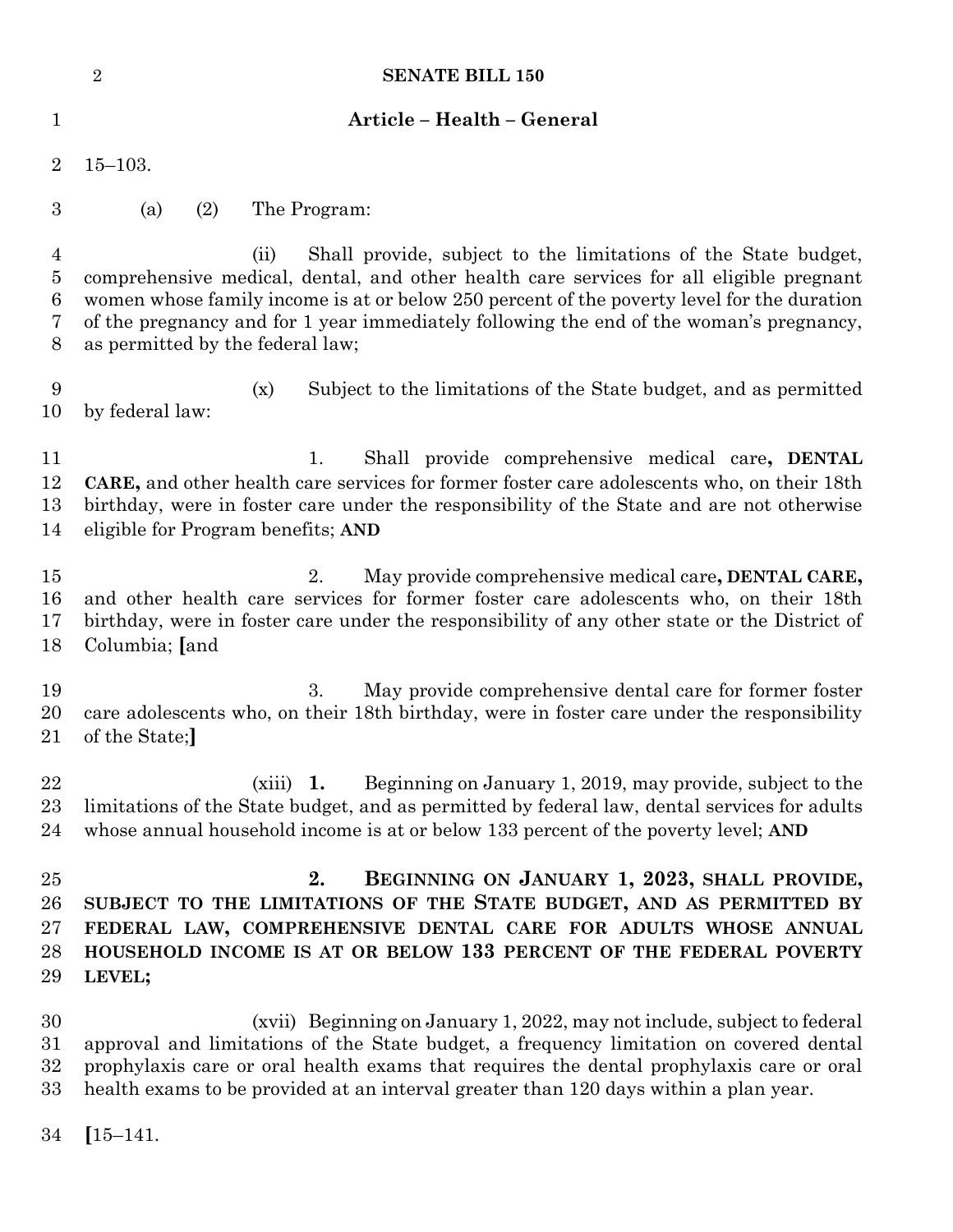|                                          | <b>SENATE BILL 150</b><br>$\overline{2}$                                                                                                                                                                                                                                                                                                                                                       |
|------------------------------------------|------------------------------------------------------------------------------------------------------------------------------------------------------------------------------------------------------------------------------------------------------------------------------------------------------------------------------------------------------------------------------------------------|
| 1                                        | Article - Health - General                                                                                                                                                                                                                                                                                                                                                                     |
| $\overline{2}$                           | $15 - 103.$                                                                                                                                                                                                                                                                                                                                                                                    |
| 3                                        | (2)<br>The Program:<br>(a)                                                                                                                                                                                                                                                                                                                                                                     |
| $\overline{4}$<br>$\bf 5$<br>6<br>7<br>8 | Shall provide, subject to the limitations of the State budget,<br>(ii)<br>comprehensive medical, dental, and other health care services for all eligible pregnant<br>women whose family income is at or below 250 percent of the poverty level for the duration<br>of the pregnancy and for 1 year immediately following the end of the woman's pregnancy,<br>as permitted by the federal law; |
| 9<br>10                                  | Subject to the limitations of the State budget, and as permitted<br>(x)<br>by federal law:                                                                                                                                                                                                                                                                                                     |
| 11<br>12<br>13<br>14                     | 1.<br>Shall provide comprehensive medical care, DENTAL<br>CARE, and other health care services for former foster care adolescents who, on their 18th<br>birthday, were in foster care under the responsibility of the State and are not otherwise<br>eligible for Program benefits; AND                                                                                                        |
| 15<br>16<br>17<br>18                     | May provide comprehensive medical care, DENTAL CARE,<br>2.<br>and other health care services for former foster care adolescents who, on their 18th<br>birthday, were in foster care under the responsibility of any other state or the District of<br>Columbia; [and                                                                                                                           |
| 19<br>20<br>21                           | 3.<br>May provide comprehensive dental care for former foster<br>care adolescents who, on their 18th birthday, were in foster care under the responsibility<br>of the State;                                                                                                                                                                                                                   |
| 22<br>23<br>24                           | Beginning on January 1, 2019, may provide, subject to the<br>$(xiii)$ 1.<br>limitations of the State budget, and as permitted by federal law, dental services for adults<br>whose annual household income is at or below 133 percent of the poverty level; AND                                                                                                                                 |
| 25<br>26<br>$27\,$<br>28<br>29           | 2.<br>BEGINNING ON JANUARY 1, 2023, SHALL PROVIDE,<br>SUBJECT TO THE LIMITATIONS OF THE STATE BUDGET, AND AS PERMITTED BY<br>FEDERAL LAW, COMPREHENSIVE DENTAL CARE FOR ADULTS WHOSE ANNUAL<br>HOUSEHOLD INCOME IS AT OR BELOW 133 PERCENT OF THE FEDERAL POVERTY<br>LEVEL;                                                                                                                    |
| 30<br>$31\,$<br>32<br>$33\,$             | (xvii) Beginning on January 1, 2022, may not include, subject to federal<br>approval and limitations of the State budget, a frequency limitation on covered dental<br>prophylaxis care or oral health exams that requires the dental prophylaxis care or oral<br>health exams to be provided at an interval greater than 120 days within a plan year.                                          |

**[**15–141.